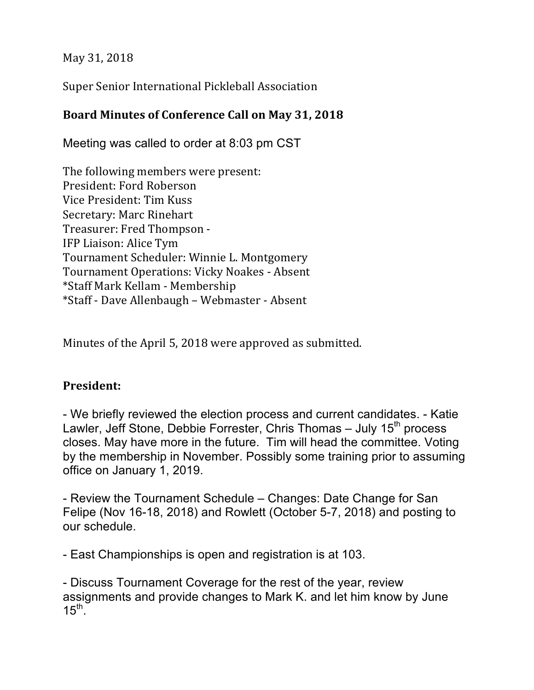May 31, 2018

Super Senior International Pickleball Association

## Board Minutes of Conference Call on May 31, 2018

Meeting was called to order at 8:03 pm CST

The following members were present: President: Ford Roberson Vice President: Tim Kuss Secretary: Marc Rinehart Treasurer: Fred Thompson -IFP Liaison: Alice Tym Tournament Scheduler: Winnie L. Montgomery Tournament Operations: Vicky Noakes - Absent \*Staff Mark Kellam - Membership \*Staff - Dave Allenbaugh – Webmaster - Absent

Minutes of the April 5, 2018 were approved as submitted.

### **President:**

- We briefly reviewed the election process and current candidates. - Katie Lawler, Jeff Stone, Debbie Forrester, Chris Thomas  $-$  July 15<sup>th</sup> process closes. May have more in the future. Tim will head the committee. Voting by the membership in November. Possibly some training prior to assuming office on January 1, 2019.

- Review the Tournament Schedule – Changes: Date Change for San Felipe (Nov 16-18, 2018) and Rowlett (October 5-7, 2018) and posting to our schedule.

- East Championships is open and registration is at 103.

- Discuss Tournament Coverage for the rest of the year, review assignments and provide changes to Mark K. and let him know by June  $15<sup>th</sup>$ .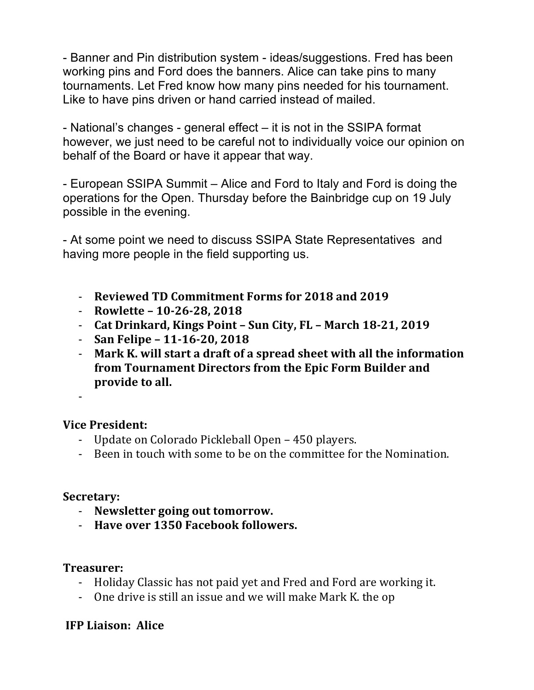- Banner and Pin distribution system - ideas/suggestions. Fred has been working pins and Ford does the banners. Alice can take pins to many tournaments. Let Fred know how many pins needed for his tournament. Like to have pins driven or hand carried instead of mailed.

- National's changes - general effect – it is not in the SSIPA format however, we just need to be careful not to individually voice our opinion on behalf of the Board or have it appear that way.

- European SSIPA Summit – Alice and Ford to Italy and Ford is doing the operations for the Open. Thursday before the Bainbridge cup on 19 July possible in the evening.

- At some point we need to discuss SSIPA State Representatives and having more people in the field supporting us.

- **Reviewed TD Commitment Forms for 2018 and 2019**
- **Rowlette 10-26-28, 2018**
- Cat Drinkard, Kings Point Sun City, FL March 18-21, 2019
- **San Felipe – 11-16-20, 2018**
- Mark K. will start a draft of a spread sheet with all the information **from Tournament Directors from the Epic Form Builder and** provide to all.

-

#### **Vice President:**

- Update on Colorado Pickleball Open 450 players.
- Been in touch with some to be on the committee for the Nomination.

#### **Secretary:**

- Newsletter going out tomorrow.
- Have over 1350 Facebook followers.

#### **Treasurer:**

- Holiday Classic has not paid yet and Fred and Ford are working it.
- One drive is still an issue and we will make Mark K, the op

#### **IFP Liaison: Alice**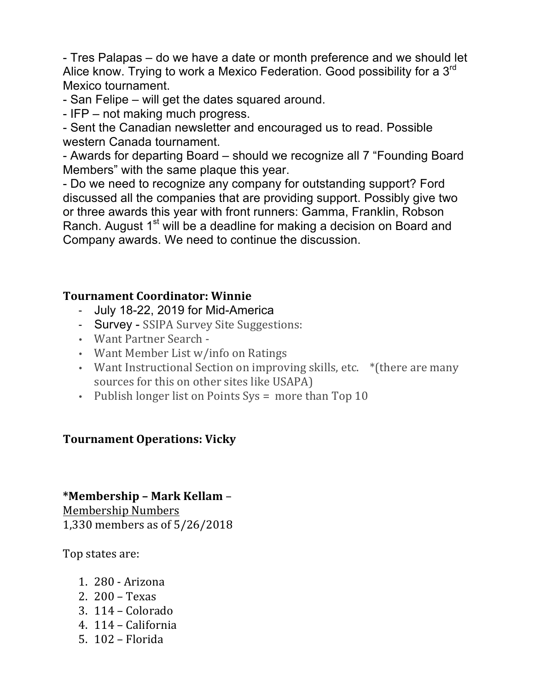- Tres Palapas – do we have a date or month preference and we should let Alice know. Trying to work a Mexico Federation. Good possibility for a 3<sup>rd</sup> Mexico tournament.

- San Felipe – will get the dates squared around.

- IFP – not making much progress.

- Sent the Canadian newsletter and encouraged us to read. Possible western Canada tournament.

- Awards for departing Board – should we recognize all 7 "Founding Board Members" with the same plaque this year.

- Do we need to recognize any company for outstanding support? Ford discussed all the companies that are providing support. Possibly give two or three awards this year with front runners: Gamma, Franklin, Robson Ranch. August 1<sup>st</sup> will be a deadline for making a decision on Board and Company awards. We need to continue the discussion.

## **Tournament Coordinator: Winnie**

- July 18-22, 2019 for Mid-America
- Survey SSIPA Survey Site Suggestions:
- Want Partner Search -
- Want Member List w/info on Ratings
- Want Instructional Section on improving skills, etc. \* (there are many sources for this on other sites like USAPA)
- Publish longer list on Points  $Sys = more than Top 10$

## **Tournament Operations: Vicky**

## **\*Membership – Mark Kellam** –

Membership Numbers 1,330 members as of 5/26/2018

Top states are:

- 1. 280 - Arizona
- 2.  $200 -$  Texas
- $3.114 -$ Colorado
- 4. 114 California
- $5.102 -$ Florida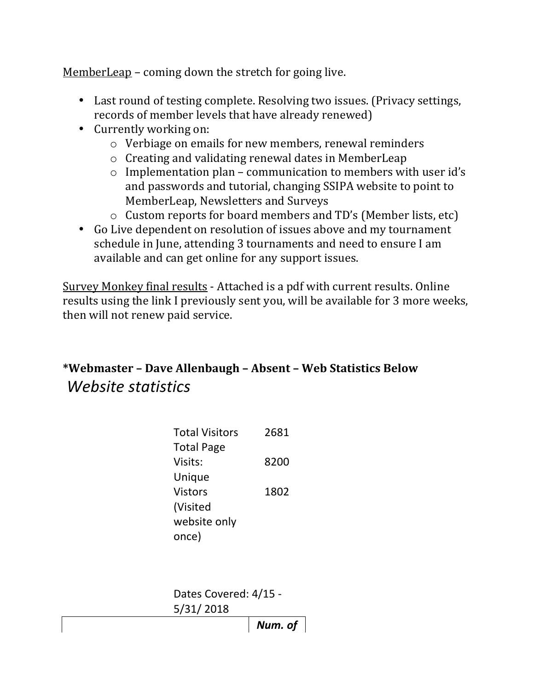MemberLeap – coming down the stretch for going live.

- Last round of testing complete. Resolving two issues. (Privacy settings, records of member levels that have already renewed)
- Currently working on:
	- $\circ$  Verbiage on emails for new members, renewal reminders
	- $\circ$  Creating and validating renewal dates in MemberLeap
	- $\circ$  Implementation plan communication to members with user id's and passwords and tutorial, changing SSIPA website to point to MemberLeap, Newsletters and Surveys
	- $\circ$  Custom reports for board members and TD's (Member lists, etc)
- Go Live dependent on resolution of issues above and my tournament schedule in June, attending 3 tournaments and need to ensure I am available and can get online for any support issues.

Survey Monkey final results - Attached is a pdf with current results. Online results using the link I previously sent you, will be available for 3 more weeks, then will not renew paid service.

# **\*Webmaster - Dave Allenbaugh - Absent - Web Statistics Below** *Website statistics*

| <b>Total Visitors</b> | 2681 |
|-----------------------|------|
| <b>Total Page</b>     |      |
| Visits:               | 8200 |
| Unique                |      |
| <b>Vistors</b>        | 1802 |
| (Visited              |      |
| website only          |      |
| once)                 |      |
|                       |      |

Dates Covered: 4/15 -5/31/ 2018

*Num. of*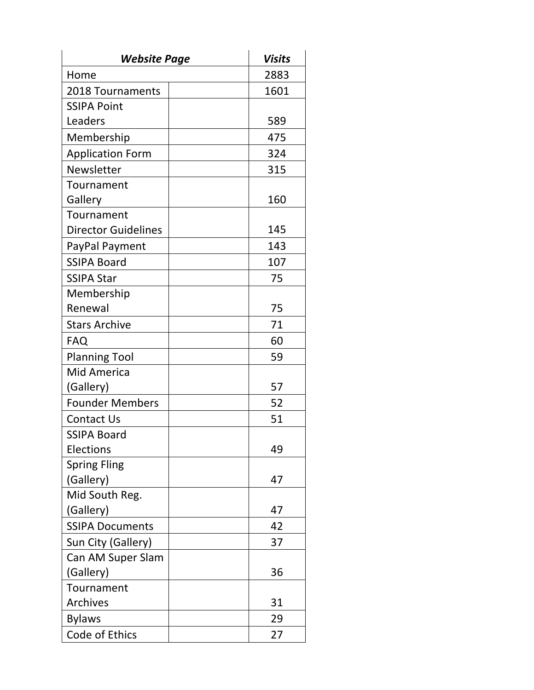| <b>Website Page</b>        | Visits |
|----------------------------|--------|
| Home                       | 2883   |
| 2018 Tournaments           | 1601   |
| <b>SSIPA Point</b>         |        |
| Leaders                    | 589    |
| Membership                 | 475    |
| <b>Application Form</b>    | 324    |
| Newsletter                 | 315    |
| Tournament                 |        |
| Gallery                    | 160    |
| Tournament                 |        |
| <b>Director Guidelines</b> | 145    |
| PayPal Payment             | 143    |
| <b>SSIPA Board</b>         | 107    |
| <b>SSIPA Star</b>          | 75     |
| Membership                 |        |
| Renewal                    | 75     |
| <b>Stars Archive</b>       | 71     |
| <b>FAQ</b>                 | 60     |
| <b>Planning Tool</b>       | 59     |
| <b>Mid America</b>         |        |
| (Gallery)                  | 57     |
| <b>Founder Members</b>     | 52     |
| <b>Contact Us</b>          | 51     |
| <b>SSIPA Board</b>         |        |
| Elections                  | 49     |
| <b>Spring Fling</b>        |        |
| (Gallery)                  | 47     |
| Mid South Reg.             |        |
| (Gallery)                  | 47     |
| <b>SSIPA Documents</b>     | 42     |
| Sun City (Gallery)         | 37     |
| Can AM Super Slam          |        |
| (Gallery)                  | 36     |
| Tournament                 |        |
| <b>Archives</b>            | 31     |
| <b>Bylaws</b>              | 29     |
| Code of Ethics             | 27     |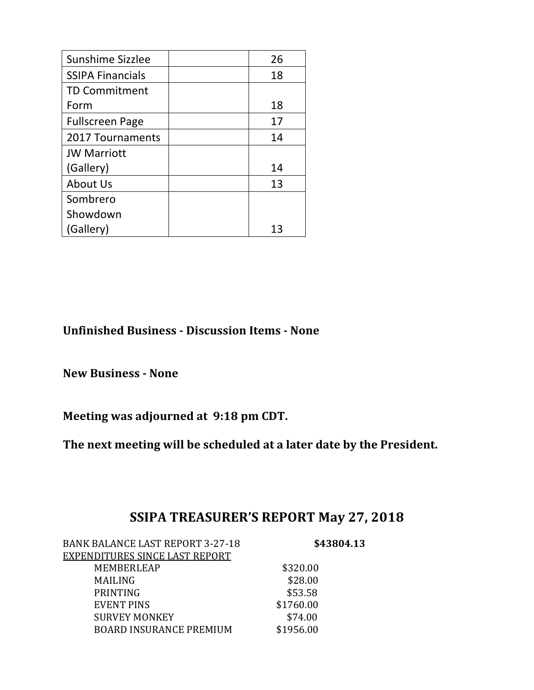| Sunshime Sizzlee        | 26 |
|-------------------------|----|
| <b>SSIPA Financials</b> | 18 |
| <b>TD Commitment</b>    |    |
| Form                    | 18 |
| <b>Fullscreen Page</b>  | 17 |
| 2017 Tournaments        | 14 |
| <b>JW Marriott</b>      |    |
| (Gallery)               | 14 |
| About Us                | 13 |
| Sombrero                |    |
| Showdown                |    |
| (Gallery)               | 13 |

**Unfinished Business - Discussion Items - None**

**New Business - None** 

Meeting was adjourned at 9:18 pm CDT.

The next meeting will be scheduled at a later date by the President.

## SSIPA TREASURER'S REPORT May 27, 2018

| <b>BANK BALANCE LAST REPORT 3-27-18</b> | \$43804.13 |  |
|-----------------------------------------|------------|--|
| <b>EXPENDITURES SINCE LAST REPORT</b>   |            |  |
| <b>MEMBERLEAP</b>                       | \$320.00   |  |
| <b>MAILING</b>                          | \$28.00    |  |
| <b>PRINTING</b>                         | \$53.58    |  |
| <b>EVENT PINS</b>                       | \$1760.00  |  |
| <b>SURVEY MONKEY</b>                    | \$74.00    |  |
| <b>BOARD INSURANCE PREMIUM</b>          | \$1956.00  |  |